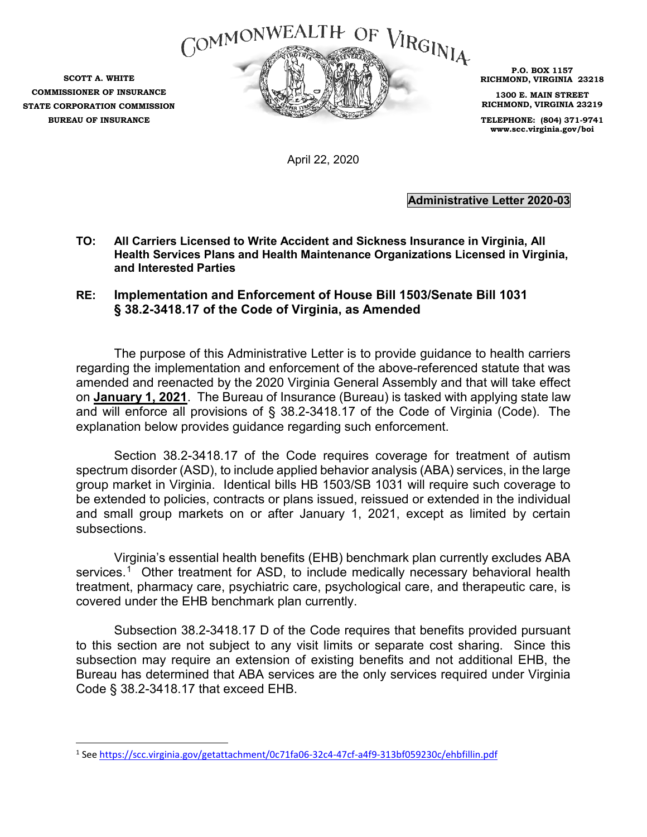

**SCOTT A. WHITE COMMISSIONER OF INSURANCE STATE CORPORATION COMMISSION BUREAU OF INSURANCE**

**P.O. BOX 1157 RICHMOND, VIRGINIA 23218**

**1300 E. MAIN STREET RICHMOND, VIRGINIA 23219**

**TELEPHONE: (804) 371-9741 www.scc.virginia.gov/boi**

April 22, 2020

**Administrative Letter 2020-03**

- **TO: All Carriers Licensed to Write Accident and Sickness Insurance in Virginia, All Health Services Plans and Health Maintenance Organizations Licensed in Virginia, and Interested Parties**
- **RE: Implementation and Enforcement of House Bill 1503/Senate Bill 1031 § 38.2-3418.17 of the Code of Virginia, as Amended**

The purpose of this Administrative Letter is to provide guidance to health carriers regarding the implementation and enforcement of the above-referenced statute that was amended and reenacted by the 2020 Virginia General Assembly and that will take effect on **January 1, 2021**. The Bureau of Insurance (Bureau) is tasked with applying state law and will enforce all provisions of § 38.2-3418.17 of the Code of Virginia (Code). The explanation below provides guidance regarding such enforcement.

Section 38.2-3418.17 of the Code requires coverage for treatment of autism spectrum disorder (ASD), to include applied behavior analysis (ABA) services, in the large group market in Virginia. Identical bills HB 1503/SB 1031 will require such coverage to be extended to policies, contracts or plans issued, reissued or extended in the individual and small group markets on or after January 1, 2021, except as limited by certain subsections.

Virginia's essential health benefits (EHB) benchmark plan currently excludes ABA services.<sup>[1](#page-0-0)</sup> Other treatment for ASD, to include medically necessary behavioral health treatment, pharmacy care, psychiatric care, psychological care, and therapeutic care, is covered under the EHB benchmark plan currently.

Subsection 38.2-3418.17 D of the Code requires that benefits provided pursuant to this section are not subject to any visit limits or separate cost sharing. Since this subsection may require an extension of existing benefits and not additional EHB, the Bureau has determined that ABA services are the only services required under Virginia Code § 38.2-3418.17 that exceed EHB.

<span id="page-0-0"></span> $\overline{a}$ <sup>1</sup> See<https://scc.virginia.gov/getattachment/0c71fa06-32c4-47cf-a4f9-313bf059230c/ehbfillin.pdf>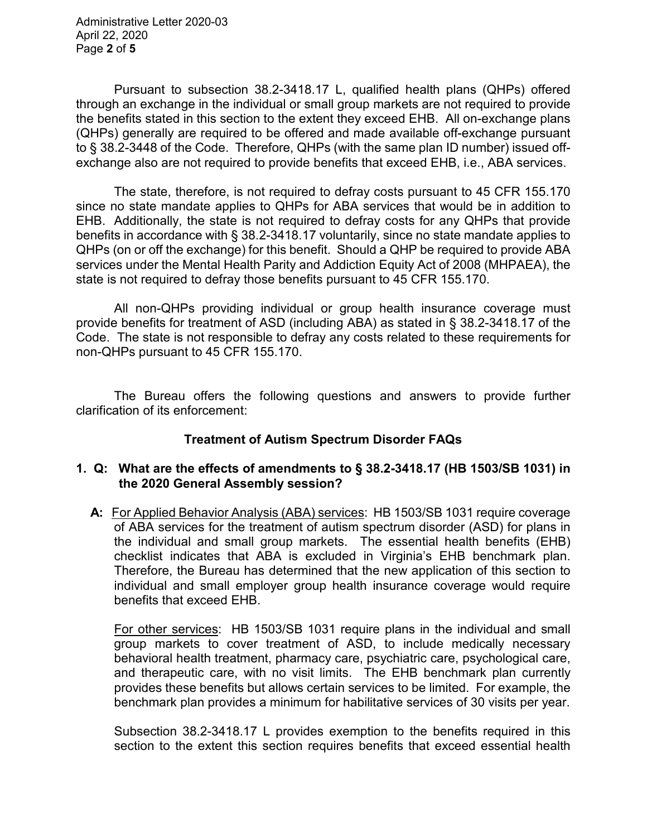Administrative Letter 2020-03 April 22, 2020 Page **2** of **5**

Pursuant to subsection 38.2-3418.17 L, qualified health plans (QHPs) offered through an exchange in the individual or small group markets are not required to provide the benefits stated in this section to the extent they exceed EHB. All on-exchange plans (QHPs) generally are required to be offered and made available off-exchange pursuant to § 38.2-3448 of the Code. Therefore, QHPs (with the same plan ID number) issued offexchange also are not required to provide benefits that exceed EHB, i.e., ABA services.

The state, therefore, is not required to defray costs pursuant to 45 CFR 155.170 since no state mandate applies to QHPs for ABA services that would be in addition to EHB. Additionally, the state is not required to defray costs for any QHPs that provide benefits in accordance with § 38.2-3418.17 voluntarily, since no state mandate applies to QHPs (on or off the exchange) for this benefit. Should a QHP be required to provide ABA services under the Mental Health Parity and Addiction Equity Act of 2008 (MHPAEA), the state is not required to defray those benefits pursuant to 45 CFR 155.170.

All non-QHPs providing individual or group health insurance coverage must provide benefits for treatment of ASD (including ABA) as stated in § 38.2-3418.17 of the Code. The state is not responsible to defray any costs related to these requirements for non-QHPs pursuant to 45 CFR 155.170.

The Bureau offers the following questions and answers to provide further clarification of its enforcement:

# **Treatment of Autism Spectrum Disorder FAQs**

#### **1. Q: What are the effects of amendments to § 38.2-3418.17 (HB 1503/SB 1031) in the 2020 General Assembly session?**

 **A:** For Applied Behavior Analysis (ABA) services: HB 1503/SB 1031 require coverage of ABA services for the treatment of autism spectrum disorder (ASD) for plans in the individual and small group markets. The essential health benefits (EHB) checklist indicates that ABA is excluded in Virginia's EHB benchmark plan. Therefore, the Bureau has determined that the new application of this section to individual and small employer group health insurance coverage would require benefits that exceed EHB.

For other services: HB 1503/SB 1031 require plans in the individual and small group markets to cover treatment of ASD, to include medically necessary behavioral health treatment, pharmacy care, psychiatric care, psychological care, and therapeutic care, with no visit limits. The EHB benchmark plan currently provides these benefits but allows certain services to be limited. For example, the benchmark plan provides a minimum for habilitative services of 30 visits per year.

Subsection 38.2-3418.17 L provides exemption to the benefits required in this section to the extent this section requires benefits that exceed essential health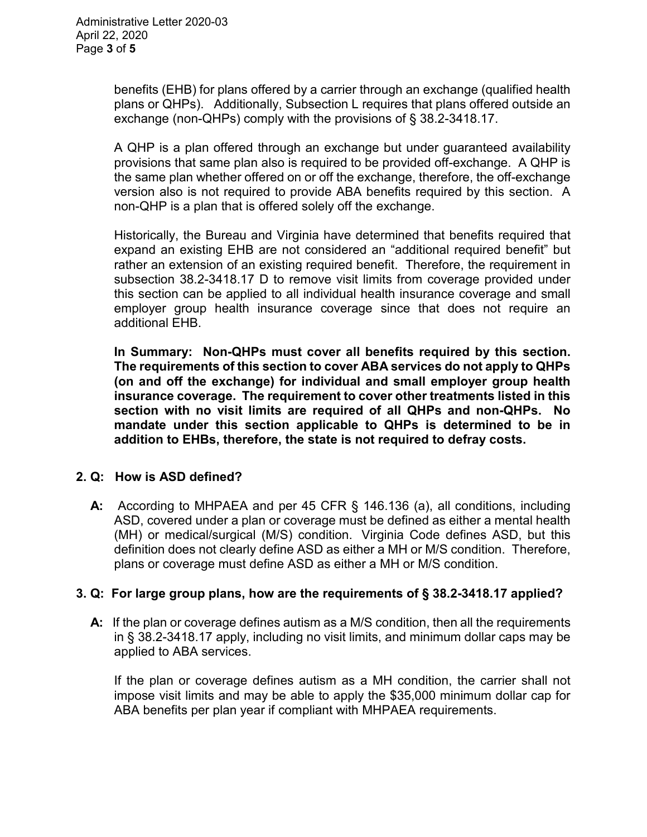benefits (EHB) for plans offered by a carrier through an exchange (qualified health plans or QHPs). Additionally, Subsection L requires that plans offered outside an exchange (non-QHPs) comply with the provisions of § 38.2-3418.17.

A QHP is a plan offered through an exchange but under guaranteed availability provisions that same plan also is required to be provided off-exchange. A QHP is the same plan whether offered on or off the exchange, therefore, the off-exchange version also is not required to provide ABA benefits required by this section. A non-QHP is a plan that is offered solely off the exchange.

Historically, the Bureau and Virginia have determined that benefits required that expand an existing EHB are not considered an "additional required benefit" but rather an extension of an existing required benefit. Therefore, the requirement in subsection 38.2-3418.17 D to remove visit limits from coverage provided under this section can be applied to all individual health insurance coverage and small employer group health insurance coverage since that does not require an additional EHB.

**In Summary: Non-QHPs must cover all benefits required by this section. The requirements of this section to cover ABA services do not apply to QHPs (on and off the exchange) for individual and small employer group health insurance coverage. The requirement to cover other treatments listed in this section with no visit limits are required of all QHPs and non-QHPs. No mandate under this section applicable to QHPs is determined to be in addition to EHBs, therefore, the state is not required to defray costs.** 

## **2. Q: How is ASD defined?**

 **A:** According to MHPAEA and per 45 CFR § 146.136 (a), all conditions, including ASD, covered under a plan or coverage must be defined as either a mental health (MH) or medical/surgical (M/S) condition. Virginia Code defines ASD, but this definition does not clearly define ASD as either a MH or M/S condition. Therefore, plans or coverage must define ASD as either a MH or M/S condition.

## **3. Q: For large group plans, how are the requirements of § 38.2-3418.17 applied?**

 **A:** If the plan or coverage defines autism as a M/S condition, then all the requirements in § 38.2-3418.17 apply, including no visit limits, and minimum dollar caps may be applied to ABA services.

If the plan or coverage defines autism as a MH condition, the carrier shall not impose visit limits and may be able to apply the \$35,000 minimum dollar cap for ABA benefits per plan year if compliant with MHPAEA requirements.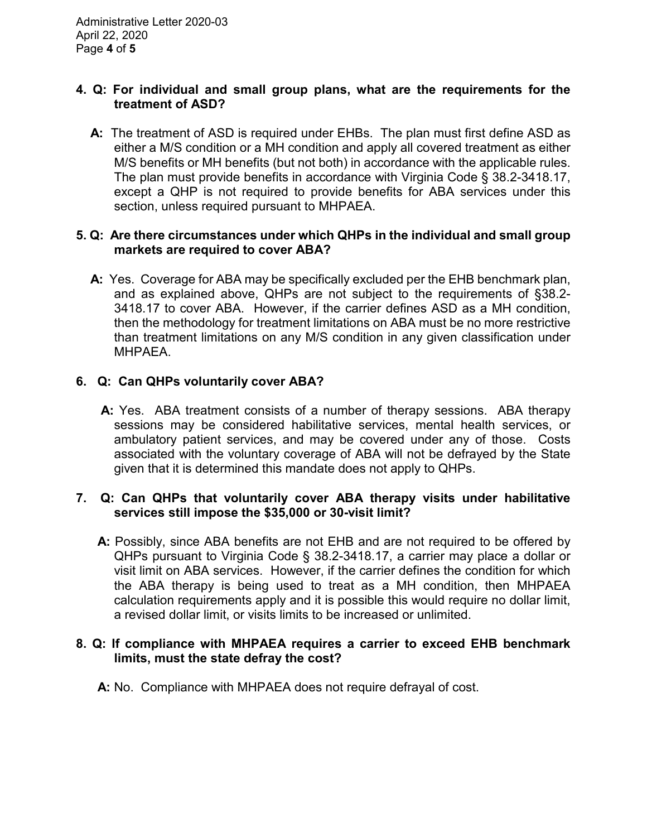#### **4. Q: For individual and small group plans, what are the requirements for the treatment of ASD?**

 **A:** The treatment of ASD is required under EHBs. The plan must first define ASD as either a M/S condition or a MH condition and apply all covered treatment as either M/S benefits or MH benefits (but not both) in accordance with the applicable rules. The plan must provide benefits in accordance with Virginia Code § 38.2-3418.17, except a QHP is not required to provide benefits for ABA services under this section, unless required pursuant to MHPAEA.

## **5. Q: Are there circumstances under which QHPs in the individual and small group markets are required to cover ABA?**

 **A:** Yes. Coverage for ABA may be specifically excluded per the EHB benchmark plan, and as explained above, QHPs are not subject to the requirements of §38.2- 3418.17 to cover ABA. However, if the carrier defines ASD as a MH condition, then the methodology for treatment limitations on ABA must be no more restrictive than treatment limitations on any M/S condition in any given classification under MHPAEA.

## **6. Q: Can QHPs voluntarily cover ABA?**

 **A:** Yes. ABA treatment consists of a number of therapy sessions. ABA therapy sessions may be considered habilitative services, mental health services, or ambulatory patient services, and may be covered under any of those. Costs associated with the voluntary coverage of ABA will not be defrayed by the State given that it is determined this mandate does not apply to QHPs.

## **7. Q: Can QHPs that voluntarily cover ABA therapy visits under habilitative services still impose the \$35,000 or 30-visit limit?**

 **A:** Possibly, since ABA benefits are not EHB and are not required to be offered by QHPs pursuant to Virginia Code § 38.2-3418.17, a carrier may place a dollar or visit limit on ABA services. However, if the carrier defines the condition for which the ABA therapy is being used to treat as a MH condition, then MHPAEA calculation requirements apply and it is possible this would require no dollar limit, a revised dollar limit, or visits limits to be increased or unlimited.

#### **8. Q: If compliance with MHPAEA requires a carrier to exceed EHB benchmark limits, must the state defray the cost?**

 **A:** No. Compliance with MHPAEA does not require defrayal of cost.